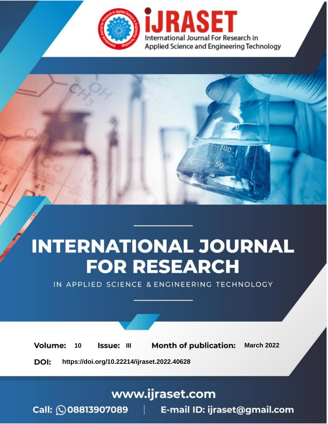

# **INTERNATIONAL JOURNAL FOR RESEARCH**

IN APPLIED SCIENCE & ENGINEERING TECHNOLOGY

10 **Issue: III Month of publication:** March 2022 **Volume:** 

**https://doi.org/10.22214/ijraset.2022.40628**DOI:

www.ijraset.com

Call: 008813907089 | E-mail ID: ijraset@gmail.com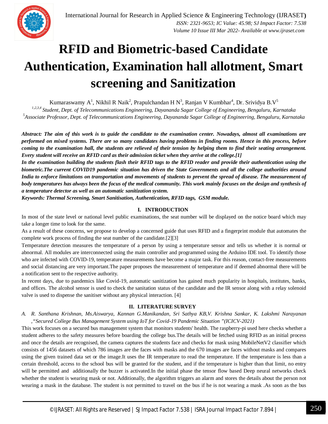

### **RFID and Biometric-based Candidate Authentication, Examination hall allotment, Smart screening and Sanitization**

Kumaraswamy A<sup>1</sup>, Nikhil R Naik<sup>2</sup>, Prapulchandan H N<sup>3</sup>, Ranjan V Kumbhar<sup>4</sup>, Dr. Srividya B.V<sup>5</sup>

*1,2,3,4 Student, Dept. of Telecommunications Engineering, Dayananda Sagar College of Engineering, Bengaluru, Karnataka 5 Associate Professor, Dept. of Telecommunications Engineering, Dayananda Sagar College of Engineering, Bengaluru, Karnataka*

*Abstract: The aim of this work is to guide the candidate to the examination center. Nowadays, almost all examinations are performed on mixed systems. There are so many candidates having problems in finding rooms. Hence in this process, before coming to the examination hall, the students are relieved of their tension by helping them to find their seating arrangement. Every student will receive an RFID card as their admission ticket when they arrive at the college.[1]*

*In the examination building the students flash their RFID tags to the RFID reader and provide their authentication using the biometric.The current COVID19 pandemic situation has driven the State Governments and all the college authorities around India to enforce limitations on transportation and movements of students to prevent the spread of disease. The measurement of body temperatures has always been the focus of the medical community. This work mainly focuses on the design and synthesis of a temperature detector as well as an automatic sanitization system.* 

*Keywords: Thermal Screening, Smart Sanitisation, Authentication, RFID tags, GSM module.*

#### **I. INTRODUCTION**

In most of the state level or national level public examinations, the seat number will be displayed on the notice board which may take a longer time to look for the same.

As a result of these concerns, we propose to develop a concerned guide that uses RFID and a fingerprint module that automates the complete work process of finding the seat number of the candidate.[2][3]

Temperature detection measures the temperature of a person by using a temperature sensor and tells us whether it is normal or abnormal. All modules are interconnected using the main controller and programmed using the Arduino IDE tool. To identify those who are infected with COVID-19, temperature measurements have become a major task. For this reason, contact-free measurements and social distancing are very important.The paper proposes the measurement of temperature and if deemed abnormal there will be a notification sent to the respective authority.

In recent days, due to pandemics like Covid-19, automatic sanitization has gained much popularity in hospitals, institutes, banks, and offices. The alcohol sensor is used to check the sanitation status of the candidate and the IR sensor along with a relay solenoid valve is used to dispense the sanitiser without any physical interaction. [4]

#### **II. LITERATURE SURVEY**

*A. R. Santhana Krishnan, Ms.Aiswarya, Kannan G.Manikandan, Sri Sathya KB,V. Krishna Sankar, K. Lakshmi Narayanan ,"Secured College Bus Management System using IoT for Covid-19 Pandemic Situation "(ICICV-2021)*

This work focuses on a secured bus management system that monitors students' health. The raspberry-pi used here checks whether a student adheres to the safety measures before boarding the college bus.The details will be fetched using RFID as an initial process and once the details are recognised, the camera captures the students face and checks for mask using MobileNetV2 classifier which consists of 1456 datasets of which 786 images are the faces with masks and the 670 images are faces without masks and compares using the given trained data set or the image.It uses the IR temperature to read the temperature. If the temperature is less than a certain threshold, access to the school bus will be granted for the student, and if the temperature is higher than that limit, no entry will be permitted and additionally the buzzer is activated.In the initial phase the tensor flow based Deep neural networks check whether the student is wearing mask or not. Additionally, the algorithm triggers an alarm and stores the details about the person not wearing a mask in the database. The student is not permitted to travel on the bus if he is not wearing a mask .As soon as the bus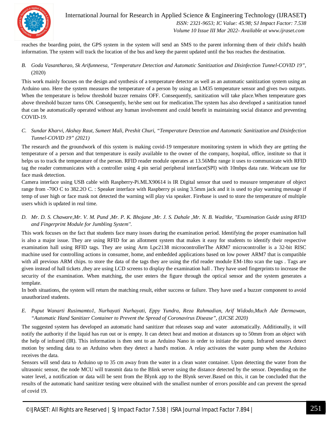

International Journal for Research in Applied Science & Engineering Technology (IJRASET**)**  *ISSN: 2321-9653; IC Value: 45.98; SJ Impact Factor: 7.538 Volume 10 Issue III Mar 2022- Available at www.ijraset.com*

reaches the boarding point, the GPS system in the system will send an SMS to the parent informing them of their child's health information. The system will track the location of the bus and keep the parent updated until the bus reaches the destination.

*B. Goda Vasantharao, Sk Arifunneesa, "Temperature Detection and Automatic Sanitization and Disinfection Tunnel-COVID 19",*  (2020)

This work mainly focuses on the design and synthesis of a temperature detector as well as an automatic sanitization system using an Arduino uno. Here the system measures the temperature of a person by using an LM35 temperature sensor and gives two outputs. When the temperature is below threshold buzzer remains OFF. Consequently, sanitization will take place. When temperature goes above threshold buzzer turns ON. Consequently, he/she sent out for medication.The system has also developed a sanitization tunnel that can be automatically operated without any human involvement and could benefit in maintaining social distance and preventing COVID-19.

*C. Sundar Kharvi, Akshay Raut, Sumeet Mali, Preshit Churi, "Temperature Detection and Automatic Sanitization and Disinfection Tunnel-COVID 19" (2021)*

The research and the groundwork of this system is making covid-19 temperature monitoring system in which they are getting the temperature of a person and that temperature is easily available to the owner of the company, hospital, office, institute so that it helps us to track the temperature of the person. RFID reader module operates at 13.56Mhz range it uses to communicate with RFID tag the reader communicates with a controller using 4 pin serial peripheral interface(SPI) with 10mbps data rate. Webcam use for face mask detection.

Camera interface using USB cable with Raspberry-Pi.MLX90614 is IR Digital sensor that used to measure temperature of object range from -70O C to 382.2O C. : Speaker interface with Raspberry pi using 3.5mm jack and it is used to play warning message if temp of user high or face mask not detected the warning will play via speaker. Firebase is used to store the temperature of multiple users which is updated in real time.

*D. Mr. D. S. Chaware,Mr. V. M. Pund ,Mr. P. K. Bhojane ,Mr. J. S. Dahale ,Mr. N. B. Waditke, "Examination Guide using RFID and Fingerprint Module for Jumbling System''.*

This work focuses on the fact that students face many issues during the examination period. Identifying the proper examination hall is also a major issue. They are using RFID for an allotment system that makes it easy for students to identify their respective examination hall using RFID tags. They are using Arm Lpc2138 microcontrollerThe ARM7 microcontroller is a 32-bit RISC machine used for controlling actions in consumer, home, and embedded applications based on low power ARM7 that is compatible with all previous ARM chips. to store the data of the tags they are using the rfid reader module EM-18to scan the tags . Tags are given instead of hall tickets ,they are using LCD screens to display the examination hall . They have used fingerprints to increase the security of the examination. When matching, the user enters the figure through the optical sensor and the system generates a template.

In both situations, the system will return the matching result, either success or failure. They have used a buzzer component to avoid unauthorized students.

*E. Puput Wanarti Rusimamto1, Nurhayati Nurhayati, Eppy Yundra, Reza Rahmadian, Arif Widodo,Much Ade Dermawan, "Automatic Hand Sanitizer Container to Prevent the Spread of Coronavirus Disease", (IJCSE 2020)*

The suggested system has developed an automatic hand sanitizer that releases soap and water automatically. Additionally, it will notify the authority if the liquid has run out or is empty. It can detect heat and motion at distances up to 50mm from an object with the help of infrared (IR). This information is then sent to an Arduino Nano in order to initiate the pump. Infrared sensors detect motion by sending data to an Arduino when they detect a hand's motion. A relay activates the water pump when the Arduino receives the data.

Sensors will send data to Arduino up to 35 cm away from the water in a clean water container. Upon detecting the water from the ultrasonic sensor, the node MCU will transmit data to the Blink server using the distance detected by the sensor. Depending on the water level, a notification or data will be sent from the Blynk app to the Blynk server.Based on this, it can be concluded that the results of the automatic hand sanitizer testing were obtained with the smallest number of errors possible and can prevent the spread of covid 19.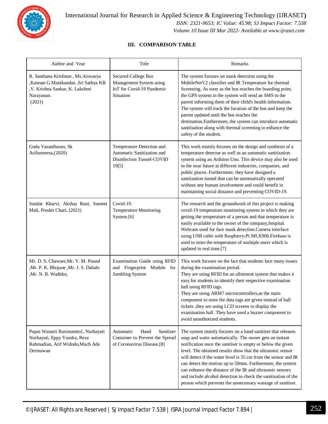

#### **III. COMPARISON TABLE**

| Author and Year                                                                                                                      | Title                                                                                           | Remarks                                                                                                                                                                                                                                                                                                                                                                                                                                                                                                                                                                           |
|--------------------------------------------------------------------------------------------------------------------------------------|-------------------------------------------------------------------------------------------------|-----------------------------------------------------------------------------------------------------------------------------------------------------------------------------------------------------------------------------------------------------------------------------------------------------------------------------------------------------------------------------------------------------------------------------------------------------------------------------------------------------------------------------------------------------------------------------------|
| R. Santhana Krishnan, Ms. Aiswarya<br>,Kannan G.Manikandan ,Sri Sathya KB<br>, V. Krishna Sankar, K. Lakshmi<br>Narayanan.<br>(2021) | <b>Secured College Bus</b><br>Management System using<br>IoT for Covid-19 Pandemic<br>Situation | The system focuses on mask detection using the<br>MobileNetV2 classifier and IR Temperature for thermal<br>Screening. As soon as the bus reaches the boarding point,<br>the GPS system in the system will send an SMS to the<br>parent informing them of their child's health information.<br>The system will track the location of the bus and keep the<br>parent updated until the bus reaches the<br>destination.Furthermore, the system can introduce automatic<br>sanitisation along with thermal screening to enhance the<br>safety of the student.                         |
| Goda Vasantharao, Sk<br>Arifunneesa, (2020)                                                                                          | Temperature Detection and<br>Automatic Sanitization and<br>Disinfection Tunnel-COVID<br>19[5]   | This work mainly focuses on the design and synthesis of a<br>temperature detector as well as an automatic sanitization<br>system using an Arduino Uno. This device may also be used<br>in the near future at different industries, companies, and<br>public places. Furthermore, they have designed a<br>sanitization tunnel that can be automatically operated<br>without any human involvement and could benefit in<br>maintaining social distance and preventing COVID-19.                                                                                                     |
| Sundar Kharvi, Akshay Raut, Sumeet<br>Mali, Preshit Churi, (2021)                                                                    | Covid-19.<br>Temperature Monitoring<br>System.[6]                                               | The research and the groundwork of this project is making<br>covid-19 temperature monitoring system in which they are<br>getting the temperature of a person and that temperature is<br>easily available to the owner of the company, hospital.<br>Webcam used for face mask detection.Camera interface<br>using USB cable with Raspberry-Pi.MLX906.Firebase is<br>used to store the temperature of multiple users which is<br>updated in real time.[7]                                                                                                                           |
| Mr. D. S. Chaware, Mr. V. M. Pound<br>,Mr. P. K. Bhojane ,Mr. J. S. Dahale<br>,Mr. N. B. Waditke,                                    | Examination Guide using RFID<br>and Fingerprint Module for<br>Jumbling System                   | This work focuses on the fact that students face many issues<br>during the examination period.<br>They are using RFID for an allotment system that makes it<br>easy for students to identify their respective examination<br>hall using RFID tags.<br>They are using ARM7 microcontrollers, as the main<br>component to store the data tags are given instead of hall<br>tickets , they are using LCD screens to display the<br>examination hall .They have used a buzzer component to<br>avoid unauthorized students.                                                            |
| Puput Wanarti Rusimamto1, Nurhayati<br>Nurhayati, Eppy Yundra, Reza<br>Rahmadian, Arif Widodo, Much Ade<br>Dermawan                  | Automatic<br>Hand<br>Sanitizer<br>Container to Prevent the Spread<br>of Coronavirus Disease.[8] | The system mainly focuses on a hand sanitiser that releases<br>soap and water automatically. The owner gets an instant<br>notification once the sanitiser is empty or below the given<br>level. The obtained results show that the ultrasonic sensor<br>will detect if the water level is 35 cm from the sensor and IR<br>can detect the motion up to 50mm. Furthermore, the system<br>can enhance the distance of the IR and ultrasonic sensors<br>and include alcohol detection to check the sanitisation of the<br>person which prevents the unnecessary wastage of sanitiser. |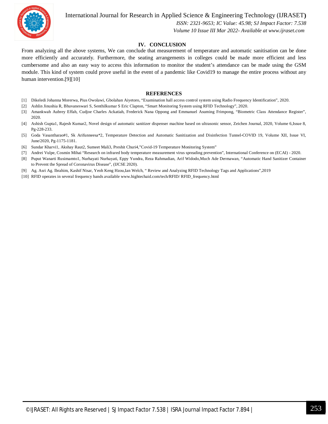

International Journal for Research in Applied Science & Engineering Technology (IJRASET**)**  *ISSN: 2321-9653; IC Value: 45.98; SJ Impact Factor: 7.538 Volume 10 Issue III Mar 2022- Available at www.ijraset.com*

#### **IV. CONCLUSION**

From analyzing all the above systems, We can conclude that measurement of temperature and automatic sanitisation can be done more efficiently and accurately. Furthermore, the seating arrangements in colleges could be made more efficient and less cumbersome and also an easy way to access this information to monitor the student's attendance can be made using the GSM module. This kind of system could prove useful in the event of a pandemic like Covid19 to manage the entire process without any human intervention.[9][10]

#### **REFERENCES**

- [1] Dikeledi Johanna Morerwa, Pius Owolawi, Gbolahan Aiyetoro, "Examination hall access control system using Radio Frequency Identification", 2020.
- [2] Ashlin Jinushia R, Bhuvaneswari S, Senthilkumar S Eric Clapton, "Smart Monitoring System using RFID Technology", 2020.
- [3] Amankwah Aubrey Effah, Cudjoe Charles Ackatiah, Frederick Nana Oppong and Emmanuel Asuming Frimpong, "Biometric Class Attendance Register", 2020.
- [4] Ashish Gupta1, Rajesh Kumar2, Novel design of automatic sanitizer dispenser machine based on ultrasonic sensor, Zeichen Journal, 2020, Volume 6,Issue 8, Pg-228-233.
- [5] Goda Vasantharao#1, Sk Arifunneesa\*2, Temperature Detection and Automatic Sanitization and Disinfection Tunnel-COVID 19, Volume XII, Issue VI, June/2020, Pg-1175-1181.
- [6] Sundar Kharvi1, Akshay Raut2, Sumeet Mali3, Preshit Churi4,"Covid-19 Temperature Monitoring System"
- [7] Andrei Vulpe, Cosmin Mihai "Research on infrared body temperature measurement virus spreading prevention", International Conference on (ECAI) 2020.
- [8] Puput Wanarti Rusimamto1, Nurhayati Nurhayati, Eppy Yundra, Reza Rahmadian, Arif Widodo,Much Ade Dermawan, "Automatic Hand Sanitizer Container to Prevent the Spread of Coronavirus Disease", (IJCSE 2020).
- [9] Ag. Asri Ag. Ibrahim, Kashif Nisar, Yeoh Keng Hzou,Ian Welch, " Review and Analyzing RFID Technology Tags and Applications",2019
- [10] RFID operates in several frequency bands available www.hightechaid.com/tech/RFID/ RFID\_frequency.html